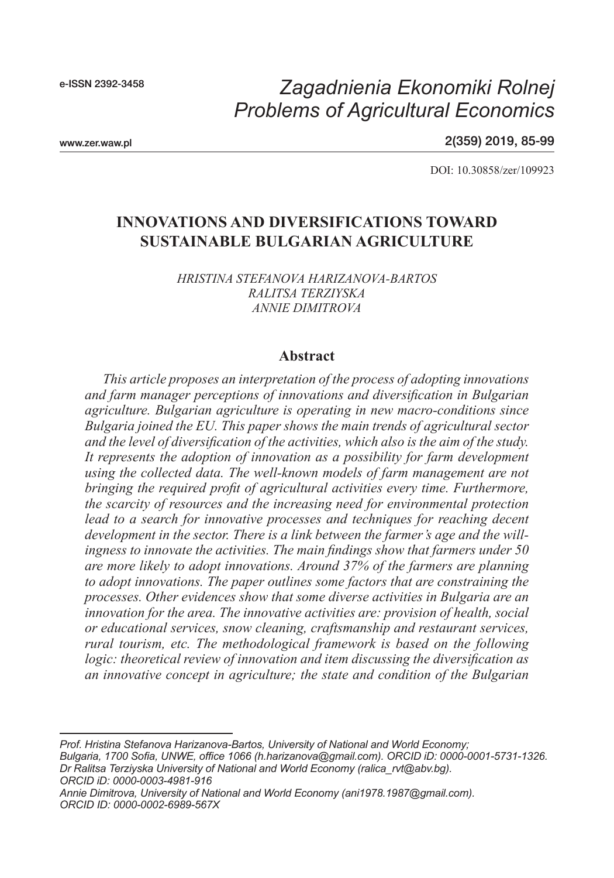e-ISSN 2392-3458

# *Problems of Agricultural Economics Zagadnienia Ekonomiki Rolnej*

www.zer.waw.pl

2(359) 2019, 85-99

DOI: 10.30858/zer/109923

# **INNOVATIONS AND DIVERSIFICATIONS TOWARD SUSTAINABLE BULGARIAN AGRICULTURE**

*HRISTINA STEFANOVA HARIZANOVA-BARTOS RALITSA TERZIYSKA ANNIE DIMITROVA*

#### **Abstract**

*This article proposes an interpretation of the process of adopting innovations and farm manager perceptions of innovations and diversification in Bulgarian agriculture. Bulgarian agriculture is operating in new macro-conditions since Bulgaria joined the EU. This paper shows the main trends of agricultural sector and the level of diversification of the activities, which also is the aim of the study. It represents the adoption of innovation as a possibility for farm development using the collected data. The well-known models of farm management are not bringing the required profit of agricultural activities every time. Furthermore, the scarcity of resources and the increasing need for environmental protection lead to a search for innovative processes and techniques for reaching decent development in the sector. There is a link between the farmer's age and the willingness to innovate the activities. The main findings show that farmers under 50 are more likely to adopt innovations. Around 37% of the farmers are planning to adopt innovations. The paper outlines some factors that are constraining the processes. Other evidences show that some diverse activities in Bulgaria are an innovation for the area. The innovative activities are: provision of health, social or educational services, snow cleaning, craftsmanship and restaurant services, rural tourism, etc. The methodological framework is based on the following logic: theoretical review of innovation and item discussing the diversification as an innovative concept in agriculture; the state and condition of the Bulgarian* 

*Prof. Hristina Stefanova Harizanova-Bartos, University of National and World Economy; Bulgaria, 1700 Sofia, UNWE, office 1066 (h.harizanova@gmail.com). ORCID iD: 0000-0001-5731-1326. Dr Ralitsa Terziyska University of National and World Economy (ralica\_rvt@abv.bg). ORCID iD: 0000-0003-4981-916*

*Annie Dimitrova, University of National and World Economy (ani1978.1987@gmail.com). ORCID ID: 0000-0002-6989-567X*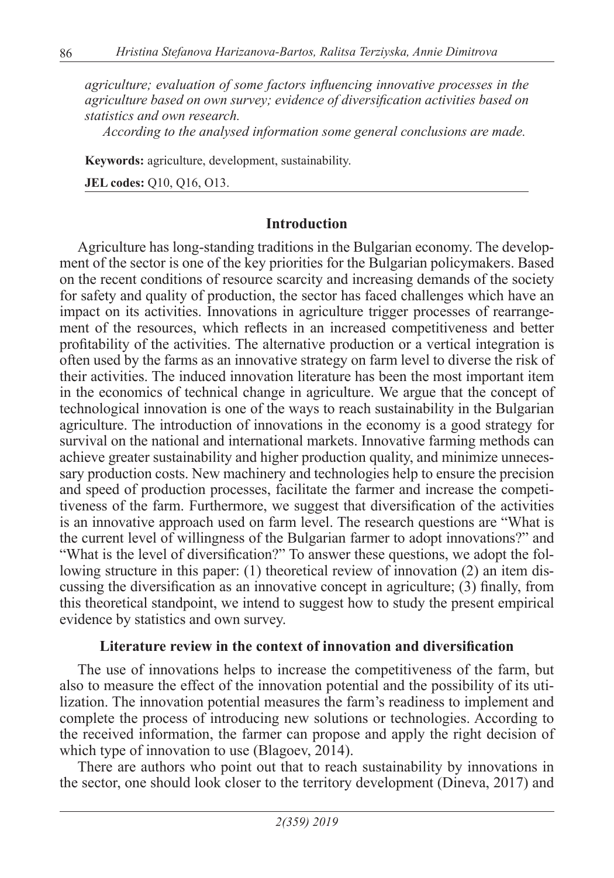*agriculture; evaluation of some factors influencing innovative processes in the agriculture based on own survey; evidence of diversification activities based on statistics and own research.*

*According to the analysed information some general conclusions are made.*

**Keywords:** agriculture, development, sustainability.

**JEL codes:** Q10, Q16, O13.

## **Introduction**

Agriculture has long-standing traditions in the Bulgarian economy. The development of the sector is one of the key priorities for the Bulgarian policymakers. Based on the recent conditions of resource scarcity and increasing demands of the society for safety and quality of production, the sector has faced challenges which have an impact on its activities. Innovations in agriculture trigger processes of rearrangement of the resources, which reflects in an increased competitiveness and better profitability of the activities. The alternative production or a vertical integration is often used by the farms as an innovative strategy on farm level to diverse the risk of their activities. The induced innovation literature has been the most important item in the economics of technical change in agriculture. We argue that the concept of technological innovation is one of the ways to reach sustainability in the Bulgarian agriculture. The introduction of innovations in the economy is a good strategy for survival on the national and international markets. Innovative farming methods can achieve greater sustainability and higher production quality, and minimize unnecessary production costs. New machinery and technologies help to ensure the precision and speed of production processes, facilitate the farmer and increase the competitiveness of the farm. Furthermore, we suggest that diversification of the activities is an innovative approach used on farm level. The research questions are "What is the current level of willingness of the Bulgarian farmer to adopt innovations?" and "What is the level of diversification?" To answer these questions, we adopt the following structure in this paper: (1) theoretical review of innovation (2) an item discussing the diversification as an innovative concept in agriculture; (3) finally, from this theoretical standpoint, we intend to suggest how to study the present empirical evidence by statistics and own survey.

# **Literature review in the context of innovation and diversification**

The use of innovations helps to increase the competitiveness of the farm, but also to measure the effect of the innovation potential and the possibility of its utilization. The innovation potential measures the farm's readiness to implement and complete the process of introducing new solutions or technologies. According to the received information, the farmer can propose and apply the right decision of which type of innovation to use (Blagoev, 2014).

There are authors who point out that to reach sustainability by innovations in the sector, one should look closer to the territory development (Dineva, 2017) and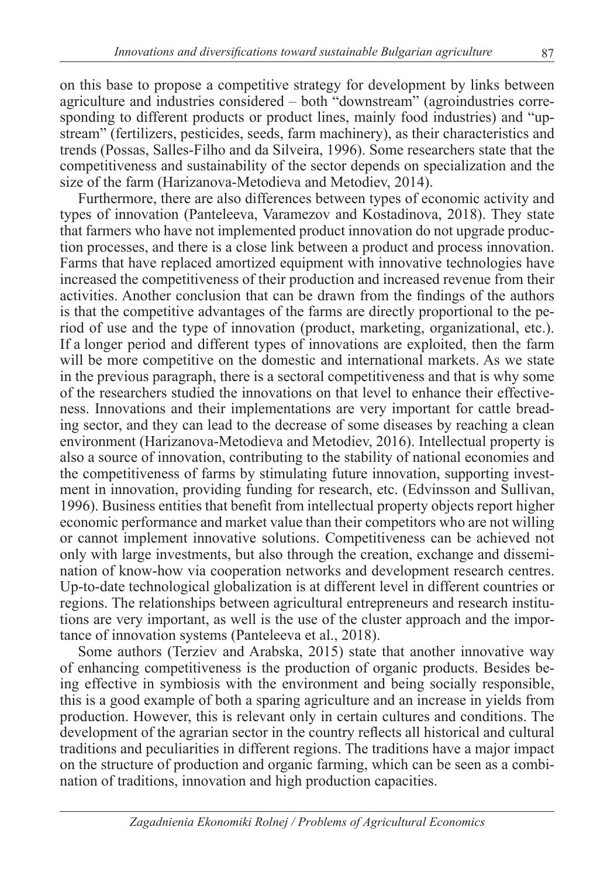on this base to propose a competitive strategy for development by links between agriculture and industries considered – both "downstream" (agroindustries corresponding to different products or product lines, mainly food industries) and "upstream" (fertilizers, pesticides, seeds, farm machinery), as their characteristics and trends (Possas, Salles-Filho and da Silveira, 1996). Some researchers state that the competitiveness and sustainability of the sector depends on specialization and the size of the farm (Harizanova-Metodieva and Metodiev, 2014).

Furthermore, there are also differences between types of economic activity and types of innovation (Panteleeva, Varamezov and Kostadinova, 2018). They state that farmers who have not implemented product innovation do not upgrade production processes, and there is a close link between a product and process innovation. Farms that have replaced amortized equipment with innovative technologies have increased the competitiveness of their production and increased revenue from their activities. Another conclusion that can be drawn from the findings of the authors is that the competitive advantages of the farms are directly proportional to the period of use and the type of innovation (product, marketing, organizational, etc.). If a longer period and different types of innovations are exploited, then the farm will be more competitive on the domestic and international markets. As we state in the previous paragraph, there is a sectoral competitiveness and that is why some of the researchers studied the innovations on that level to enhance their effectiveness. Innovations and their implementations are very important for cattle breading sector, and they can lead to the decrease of some diseases by reaching a clean environment (Harizanova-Metodieva and Metodiev, 2016). Intellectual property is also a source of innovation, contributing to the stability of national economies and the competitiveness of farms by stimulating future innovation, supporting investment in innovation, providing funding for research, etc. (Edvinsson and Sullivan, 1996). Business entities that benefit from intellectual property objects report higher economic performance and market value than their competitors who are not willing or cannot implement innovative solutions. Competitiveness can be achieved not only with large investments, but also through the creation, exchange and dissemination of know-how via cooperation networks and development research centres. Up-to-date technological globalization is at different level in different countries or regions. The relationships between agricultural entrepreneurs and research institutions are very important, as well is the use of the cluster approach and the importance of innovation systems (Panteleeva et al., 2018).

Some authors (Terziev and Arabska, 2015) state that another innovative way of enhancing competitiveness is the production of organic products. Besides being effective in symbiosis with the environment and being socially responsible, this is a good example of both a sparing agriculture and an increase in yields from production. However, this is relevant only in certain cultures and conditions. The development of the agrarian sector in the country reflects all historical and cultural traditions and peculiarities in different regions. The traditions have a major impact on the structure of production and organic farming, which can be seen as a combination of traditions, innovation and high production capacities.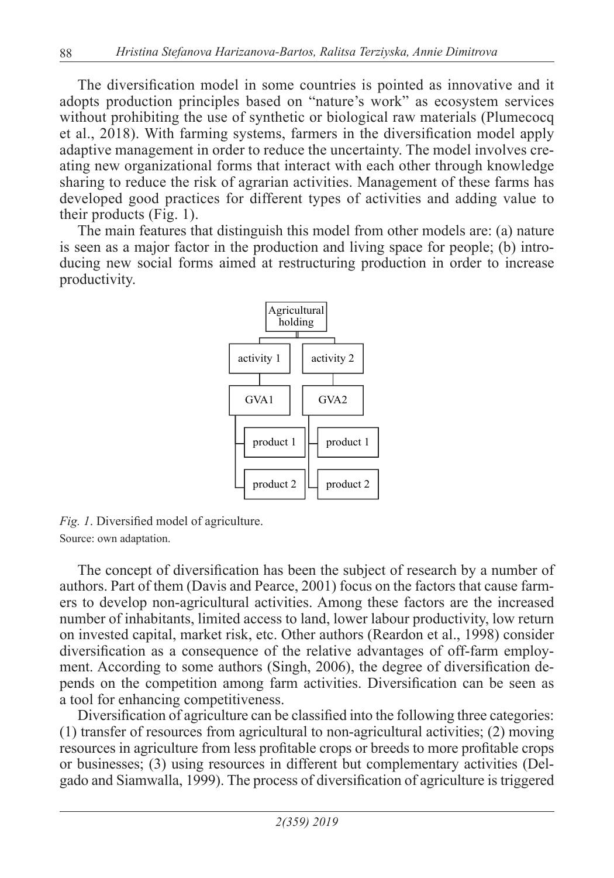The diversification model in some countries is pointed as innovative and it adopts production principles based on "nature's work" as ecosystem services without prohibiting the use of synthetic or biological raw materials (Plumecocq et al., 2018). With farming systems, farmers in the diversification model apply adaptive management in order to reduce the uncertainty. The model involves creating new organizational forms that interact with each other through knowledge sharing to reduce the risk of agrarian activities. Management of these farms has developed good practices for different types of activities and adding value to their products (Fig. 1).

The main features that distinguish this model from other models are: (a) nature is seen as a major factor in the production and living space for people; (b) introducing new social forms aimed at restructuring production in order to increase productivity.



*Fig. 1*. Diversified model of agriculture. Source: own adaptation.

The concept of diversification has been the subject of research by a number of authors. Part of them (Davis and Pearce, 2001) focus on the factors that cause farmers to develop non-agricultural activities. Among these factors are the increased number of inhabitants, limited access to land, lower labour productivity, low return on invested capital, market risk, etc. Other authors (Reardon et al., 1998) consider diversification as a consequence of the relative advantages of off-farm employment. According to some authors (Singh, 2006), the degree of diversification depends on the competition among farm activities. Diversification can be seen as a tool for enhancing competitiveness.

Diversification of agriculture can be classified into the following three categories: (1) transfer of resources from agricultural to non-agricultural activities; (2) moving resources in agriculture from less profitable crops or breeds to more profitable crops or businesses; (3) using resources in different but complementary activities (Delgado and Siamwalla, 1999). The process of diversification of agriculture is triggered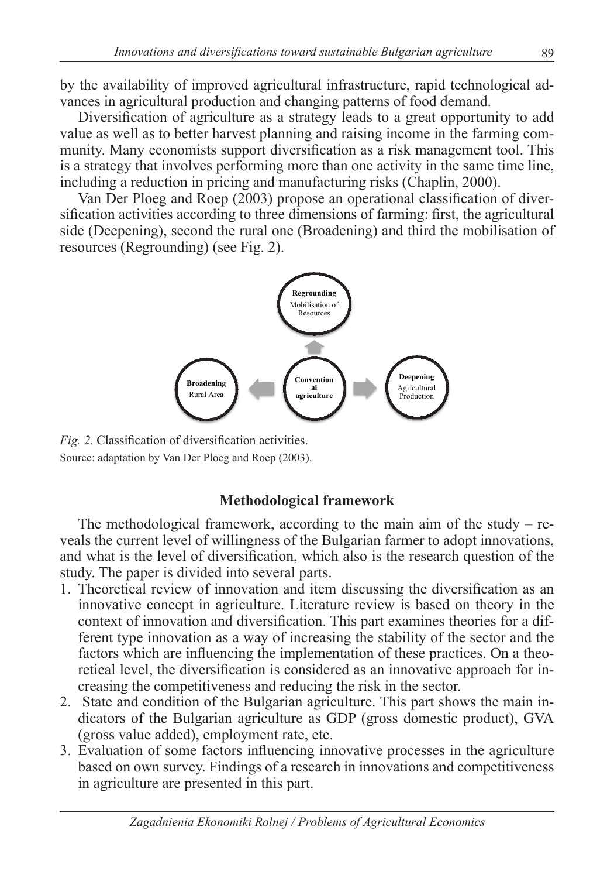by the availability of improved agricultural infrastructure, rapid technological advances in agricultural production and changing patterns of food demand.

Diversification of agriculture as a strategy leads to a great opportunity to add value as well as to better harvest planning and raising income in the farming community. Many economists support diversification as a risk management tool. This is a strategy that involves performing more than one activity in the same time line, including a reduction in pricing and manufacturing risks (Chaplin, 2000).

Van Der Ploeg and Roep (2003) propose an operational classification of diversification activities according to three dimensions of farming: first, the agricultural side (Deepening), second the rural one (Broadening) and third the mobilisation of resources (Regrounding) (see Fig. 2).



*Fig. 2.* Classification of diversification activities. Source: adaptation by Van Der Ploeg and Roep (2003).

# **Methodological framework**

The methodological framework, according to the main aim of the study – reveals the current level of willingness of the Bulgarian farmer to adopt innovations, and what is the level of diversification, which also is the research question of the study. The paper is divided into several parts.

- 1. Theoretical review of innovation and item discussing the diversification as an innovative concept in agriculture. Literature review is based on theory in the context of innovation and diversification. This part examines theories for a different type innovation as a way of increasing the stability of the sector and the factors which are influencing the implementation of these practices. On a theoretical level, the diversification is considered as an innovative approach for increasing the competitiveness and reducing the risk in the sector.
- 2. State and condition of the Bulgarian agriculture. This part shows the main indicators of the Bulgarian agriculture as GDP (gross domestic product), GVA (gross value added), employment rate, etc.
- 3. Evaluation of some factors influencing innovative processes in the agriculture based on own survey. Findings of a research in innovations and competitiveness in agriculture are presented in this part.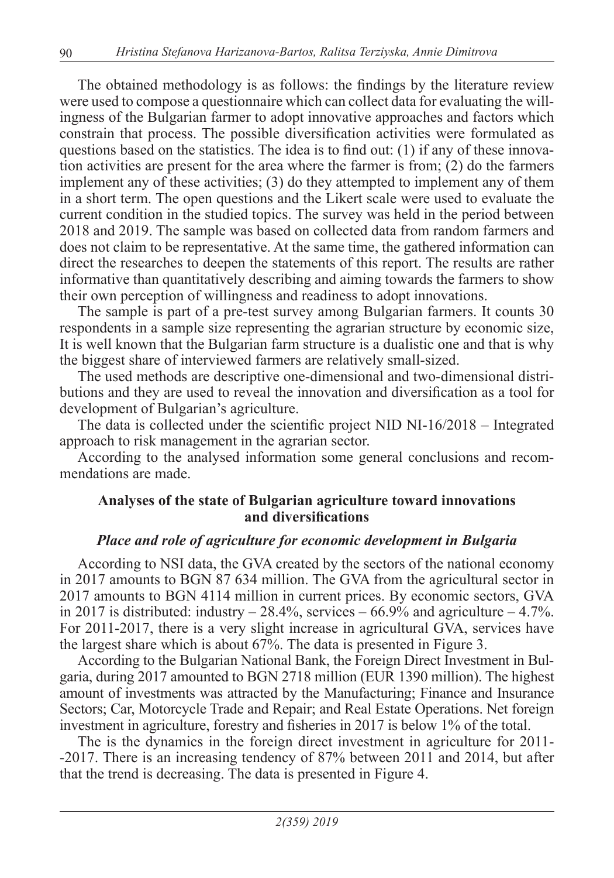The obtained methodology is as follows: the findings by the literature review were used to compose a questionnaire which can collect data for evaluating the willingness of the Bulgarian farmer to adopt innovative approaches and factors which constrain that process. The possible diversification activities were formulated as questions based on the statistics. The idea is to find out:  $(1)$  if any of these innovation activities are present for the area where the farmer is from; (2) do the farmers implement any of these activities; (3) do they attempted to implement any of them in a short term. The open questions and the Likert scale were used to evaluate the current condition in the studied topics. The survey was held in the period between 2018 and 2019. The sample was based on collected data from random farmers and does not claim to be representative. At the same time, the gathered information can direct the researches to deepen the statements of this report. The results are rather informative than quantitatively describing and aiming towards the farmers to show their own perception of willingness and readiness to adopt innovations.

The sample is part of a pre-test survey among Bulgarian farmers. It counts 30 respondents in a sample size representing the agrarian structure by economic size, It is well known that the Bulgarian farm structure is a dualistic one and that is why the biggest share of interviewed farmers are relatively small-sized.

The used methods are descriptive one-dimensional and two-dimensional distributions and they are used to reveal the innovation and diversification as a tool for development of Bulgarian's agriculture.

The data is collected under the scientific project NID NI-16/2018 – Integrated approach to risk management in the agrarian sector.

According to the analysed information some general conclusions and recommendations are made.

# **Analyses of the state of Bulgarian agriculture toward innovations and diversifications**

# *Place and role of agriculture for economic development in Bulgaria*

According to NSI data, the GVA created by the sectors of the national economy in 2017 amounts to BGN 87 634 million. The GVA from the agricultural sector in 2017 amounts to BGN 4114 million in current prices. By economic sectors, GVA in 2017 is distributed: industry  $-28.4\%$ , services  $-66.9\%$  and agriculture  $-4.7\%$ . For 2011-2017, there is a very slight increase in agricultural GVA, services have the largest share which is about 67%. The data is presented in Figure 3.

According to the Bulgarian National Bank, the Foreign Direct Investment in Bulgaria, during 2017 amounted to BGN 2718 million (EUR 1390 million). The highest amount of investments was attracted by the Manufacturing; Finance and Insurance Sectors; Car, Motorcycle Trade and Repair; and Real Estate Operations. Net foreign investment in agriculture, forestry and fisheries in 2017 is below 1% of the total.

The is the dynamics in the foreign direct investment in agriculture for 2011- -2017. There is an increasing tendency of 87% between 2011 and 2014, but after that the trend is decreasing. The data is presented in Figure 4.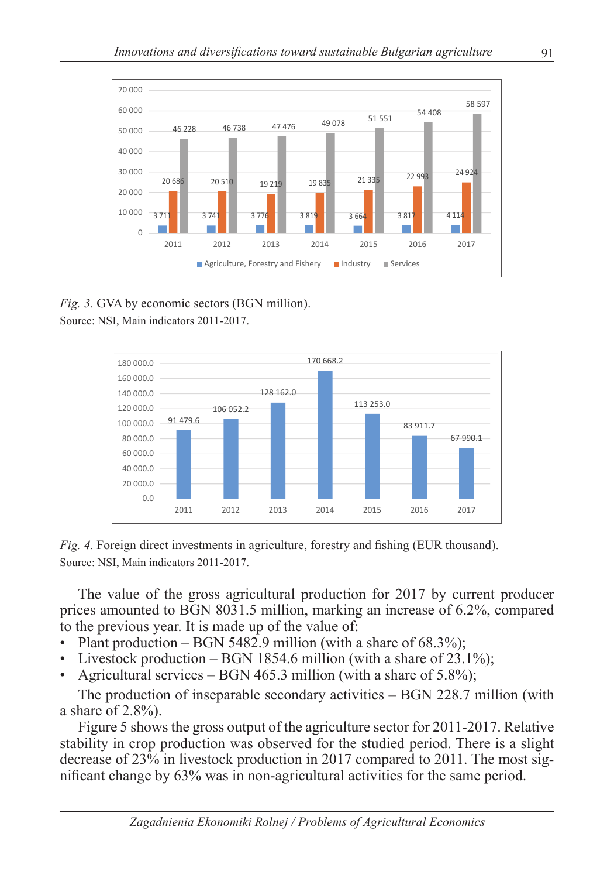

*Fig. 3.* GVA by economic sectors (BGN million).

Source: NSI, Main indicators 2011-2017.



*Fig. 4.* Foreign direct investments in agriculture, forestry and fishing (EUR thousand). Source: NSI, Main indicators 2011-2017.

The value of the gross agricultural production for 2017 by current producer prices amounted to BGN 8031.5 million, marking an increase of 6.2%, compared to the previous year. It is made up of the value of:

- Plant production BGN 5482.9 million (with a share of  $68.3\%$ );
- Livestock production BGN 1854.6 million (with a share of 23.1%);
- Agricultural services BGN 465.3 million (with a share of  $5.8\%$ );

The production of inseparable secondary activities – BGN 228.7 million (with a share of 2.8%).

Figure 5 shows the gross output of the agriculture sector for 2011-2017. Relative stability in crop production was observed for the studied period. There is a slight decrease of 23% in livestock production in 2017 compared to 2011. The most significant change by 63% was in non-agricultural activities for the same period.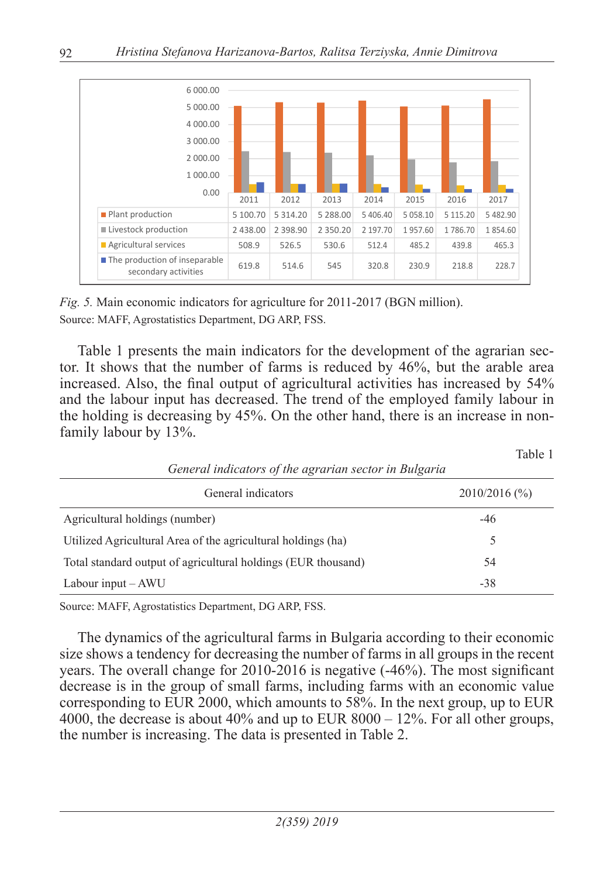

*Fig. 5.* Main economic indicators for agriculture for 2011-2017 (BGN million). Source: MAFF, Agrostatistics Department, DG ARP, FSS.

Table 1 presents the main indicators for the development of the agrarian sector. It shows that the number of farms is reduced by 46%, but the arable area increased. Also, the final output of agricultural activities has increased by 54% and the labour input has decreased. The trend of the employed family labour in the holding is decreasing by 45%. On the other hand, there is an increase in nonfamily labour by 13%.

Table 1

| General indicators of the agrarian sector in Bulgaria         |                 |
|---------------------------------------------------------------|-----------------|
| General indicators                                            | $2010/2016$ (%) |
| Agricultural holdings (number)                                | $-46$           |
| Utilized Agricultural Area of the agricultural holdings (ha)  | 5               |
| Total standard output of agricultural holdings (EUR thousand) | 54              |
| Labour input – AWU                                            | $-38$           |

Source: MAFF, Agrostatistics Department, DG ARP, FSS.

The dynamics of the agricultural farms in Bulgaria according to their economic size shows a tendency for decreasing the number of farms in all groups in the recent years. The overall change for 2010-2016 is negative (-46%). The most significant decrease is in the group of small farms, including farms with an economic value corresponding to EUR 2000, which amounts to 58%. In the next group, up to EUR 4000, the decrease is about 40% and up to EUR  $8000 - 12\%$ . For all other groups, the number is increasing. The data is presented in Table 2.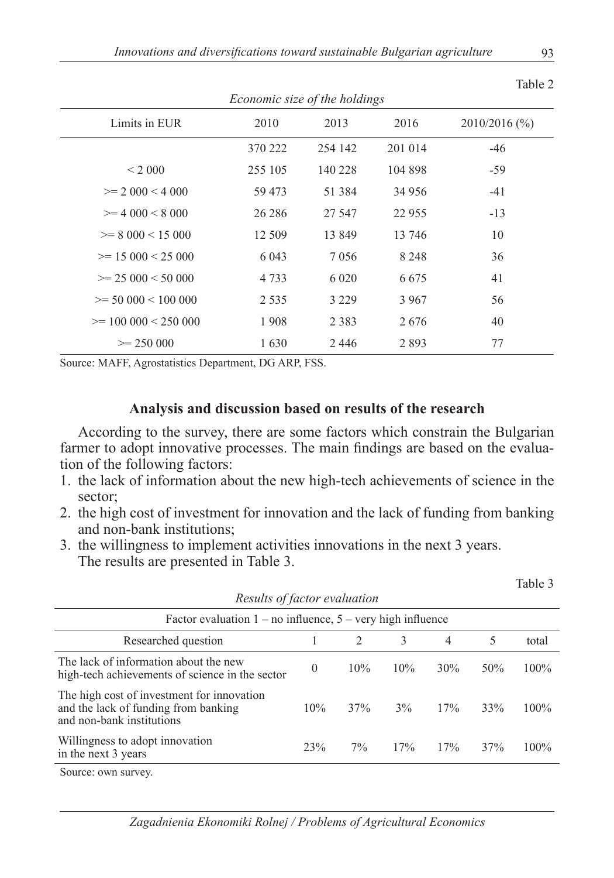|                                      |         |         |         | Table 2         |  |  |
|--------------------------------------|---------|---------|---------|-----------------|--|--|
| <i>Economic size of the holdings</i> |         |         |         |                 |  |  |
| Limits in EUR                        | 2010    | 2013    | 2016    | $2010/2016$ (%) |  |  |
|                                      | 370 222 | 254 142 | 201 014 | $-46$           |  |  |
| < 2000                               | 255 105 | 140 228 | 104 898 | $-59$           |  |  |
| $\geq$ 2 000 < 4 000                 | 59 473  | 51 384  | 34 956  | $-41$           |  |  |
| $>= 4000 < 8000$                     | 26 28 6 | 27 547  | 22 9 55 | $-13$           |  |  |
| $>= 8000 < 15000$                    | 12 509  | 13 849  | 13 746  | 10              |  |  |
| $\geq$ 15 000 < 25 000               | 6 0 4 3 | 7056    | 8 2 4 8 | 36              |  |  |
| $\geq$ 25 000 < 50 000               | 4 7 3 3 | 6 0 20  | 6 6 7 5 | 41              |  |  |
| $\geq$ 50 000 < 100 000              | 2 5 3 5 | 3 2 2 9 | 3 9 6 7 | 56              |  |  |
| $\geq$ 100 000 < 250 000             | 1908    | 2 3 8 3 | 2676    | 40              |  |  |
| $\geq$ 250 000                       | 1630    | 2446    | 2893    | 77              |  |  |

Source: MAFF, Agrostatistics Department, DG ARP, FSS.

### **Analysis and discussion based on results of the research**

According to the survey, there are some factors which constrain the Bulgarian farmer to adopt innovative processes. The main findings are based on the evaluation of the following factors:

- 1. the lack of information about the new high-tech achievements of science in the sector;
- 2. the high cost of investment for innovation and the lack of funding from banking and non-bank institutions;
- 3. the willingness to implement activities innovations in the next 3 years. The results are presented in Table 3.

| Results of factor evaluation                                                                                    |          |               |     |     |     |       |
|-----------------------------------------------------------------------------------------------------------------|----------|---------------|-----|-----|-----|-------|
| Factor evaluation $1 - no$ influence, $5 - very$ high influence                                                 |          |               |     |     |     |       |
| Researched question                                                                                             |          | $\mathcal{L}$ | 3   | 4   | 5   | total |
| The lack of information about the new<br>high-tech achievements of science in the sector                        | $\theta$ | 10%           | 10% | 30% | 50% | 100%  |
| The high cost of investment for innovation<br>and the lack of funding from banking<br>and non-bank institutions | 10%      | 37%           | 3%  | 17% | 33% | 100%  |
| Willingness to adopt innovation<br>in the next 3 years                                                          | 23%      | $7\%$         | 17% | 17% | 37% | 100%  |
| $\alpha$ and $\alpha$ and $\alpha$                                                                              |          |               |     |     |     |       |

Source: own survey.

*Zagadnienia Ekonomiki Rolnej / Problems of Agricultural Economics*

 $T<sub>1</sub>$   $\sim$ 

Table 3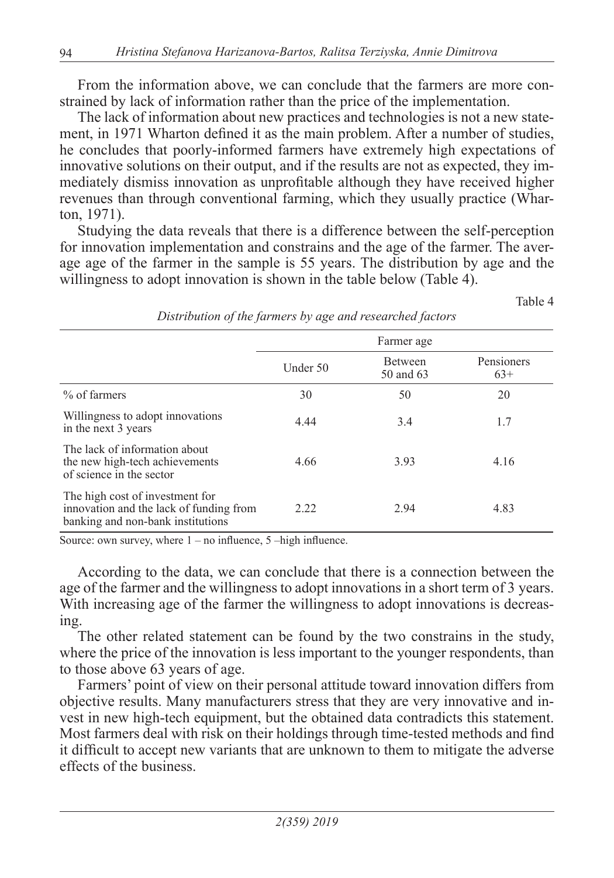From the information above, we can conclude that the farmers are more constrained by lack of information rather than the price of the implementation.

The lack of information about new practices and technologies is not a new statement, in 1971 Wharton defined it as the main problem. After a number of studies, he concludes that poorly-informed farmers have extremely high expectations of innovative solutions on their output, and if the results are not as expected, they immediately dismiss innovation as unprofitable although they have received higher revenues than through conventional farming, which they usually practice (Wharton, 1971).

Studying the data reveals that there is a difference between the self-perception for innovation implementation and constrains and the age of the farmer. The average age of the farmer in the sample is 55 years. The distribution by age and the willingness to adopt innovation is shown in the table below (Table 4).

Table 4

|                                                                                                                 | Farmer age |                             |                     |  |
|-----------------------------------------------------------------------------------------------------------------|------------|-----------------------------|---------------------|--|
|                                                                                                                 | Under 50   | <b>Between</b><br>50 and 63 | Pensioners<br>$63+$ |  |
| % of farmers                                                                                                    | 30         | 50                          | 20                  |  |
| Willingness to adopt innovations<br>in the next 3 years                                                         | 4.44       | 3.4                         | 1.7                 |  |
| The lack of information about<br>the new high-tech achievements<br>of science in the sector                     | 4.66       | 3.93                        | 4.16                |  |
| The high cost of investment for<br>innovation and the lack of funding from<br>banking and non-bank institutions | 2.22       | 2.94                        | 4.83                |  |

*Distribution of the farmers by age and researched factors*

Source: own survey, where  $1 - no$  influence,  $5 - high$  influence.

According to the data, we can conclude that there is a connection between the age of the farmer and the willingness to adopt innovations in a short term of 3 years. With increasing age of the farmer the willingness to adopt innovations is decreasing.

The other related statement can be found by the two constrains in the study, where the price of the innovation is less important to the younger respondents, than to those above 63 years of age.

Farmers' point of view on their personal attitude toward innovation differs from objective results. Many manufacturers stress that they are very innovative and invest in new high-tech equipment, but the obtained data contradicts this statement. Most farmers deal with risk on their holdings through time-tested methods and find it difficult to accept new variants that are unknown to them to mitigate the adverse effects of the business.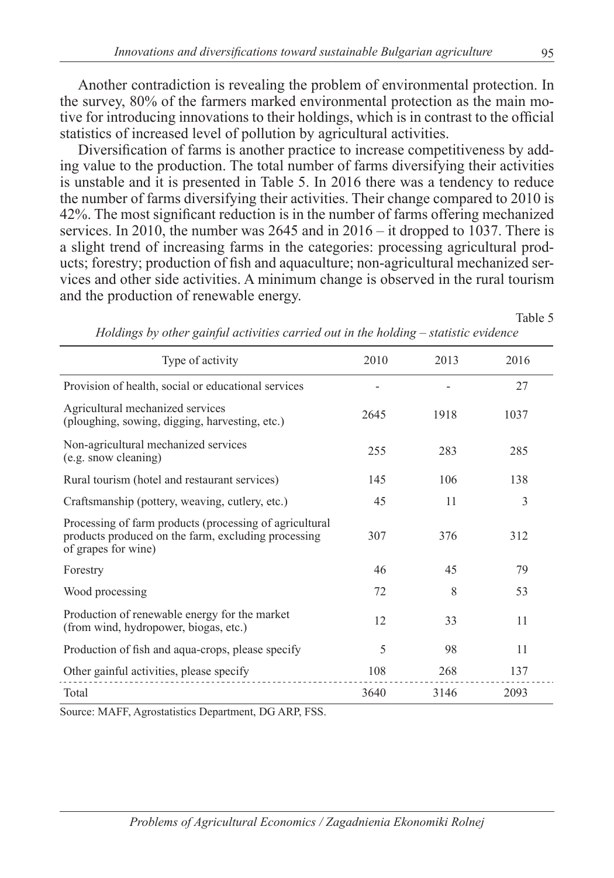Another contradiction is revealing the problem of environmental protection. In the survey, 80% of the farmers marked environmental protection as the main motive for introducing innovations to their holdings, which is in contrast to the official statistics of increased level of pollution by agricultural activities.

Diversification of farms is another practice to increase competitiveness by adding value to the production. The total number of farms diversifying their activities is unstable and it is presented in Table 5. In 2016 there was a tendency to reduce the number of farms diversifying their activities. Their change compared to 2010 is 42%. The most significant reduction is in the number of farms offering mechanized services. In 2010, the number was 2645 and in 2016 – it dropped to 1037. There is a slight trend of increasing farms in the categories: processing agricultural products; forestry; production of fish and aquaculture; non-agricultural mechanized services and other side activities. A minimum change is observed in the rural tourism and the production of renewable energy.

Table 5

| Type of activity                                                                                                                      | 2010 | 2013 | 2016 |
|---------------------------------------------------------------------------------------------------------------------------------------|------|------|------|
| Provision of health, social or educational services                                                                                   |      |      | 27   |
| Agricultural mechanized services<br>(ploughing, sowing, digging, harvesting, etc.)                                                    | 2645 | 1918 | 1037 |
| Non-agricultural mechanized services<br>(e.g. snow cleaning)                                                                          | 255  | 283  | 285  |
| Rural tourism (hotel and restaurant services)                                                                                         | 145  | 106  | 138  |
| Craftsmanship (pottery, weaving, cutlery, etc.)                                                                                       | 45   | 11   | 3    |
| Processing of farm products (processing of agricultural<br>products produced on the farm, excluding processing<br>of grapes for wine) | 307  | 376  | 312  |
| Forestry                                                                                                                              | 46   | 45   | 79   |
| Wood processing                                                                                                                       | 72   | 8    | 53   |
| Production of renewable energy for the market<br>(from wind, hydropower, biogas, etc.)                                                | 12   | 33   | 11   |
| Production of fish and aqua-crops, please specify                                                                                     | 5    | 98   | 11   |
| Other gainful activities, please specify                                                                                              | 108  | 268  | 137  |
| Total                                                                                                                                 | 3640 | 3146 | 2093 |

*Holdings by other gainful activities carried out in the holding – statistic evidence*

Source: MAFF, Agrostatistics Department, DG ARP, FSS.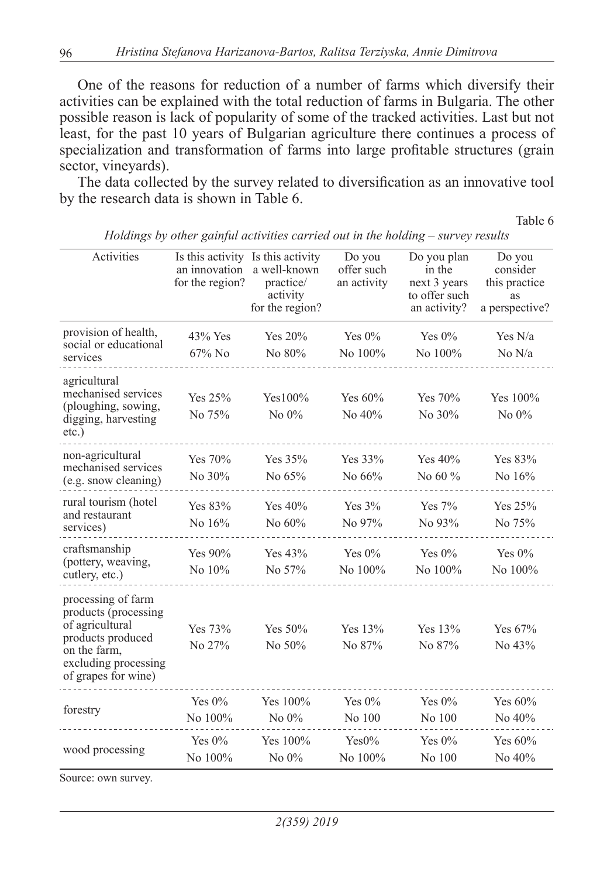One of the reasons for reduction of a number of farms which diversify their activities can be explained with the total reduction of farms in Bulgaria. The other possible reason is lack of popularity of some of the tracked activities. Last but not least, for the past 10 years of Bulgarian agriculture there continues a process of specialization and transformation of farms into large profitable structures (grain sector, vineyards).

The data collected by the survey related to diversification as an innovative tool by the research data is shown in Table 6.

Table 6

| Activities                                                                                                                                        | Is this activity Is this activity<br>an innovation<br>for the region? | a well-known<br>practice/<br>activity<br>for the region? | Do you<br>offer such<br>an activity | Do you plan<br>in the<br>next 3 years<br>to offer such<br>an activity? | Do you<br>consider<br>this practice<br>as<br>a perspective? |
|---------------------------------------------------------------------------------------------------------------------------------------------------|-----------------------------------------------------------------------|----------------------------------------------------------|-------------------------------------|------------------------------------------------------------------------|-------------------------------------------------------------|
| provision of health,<br>social or educational<br>services                                                                                         | $43\%$ Yes<br>$67\%$ No                                               | Yes 20%<br>No 80%                                        | Yes $0\%$<br>No 100%                | Yes $0\%$<br>No 100%                                                   | Yes $N/a$<br>No $N/a$                                       |
| agricultural<br>mechanised services<br>(ploughing, sowing,<br>digging, harvesting<br>$etc.$ )                                                     | Yes 25%<br>No 75%                                                     | $Yes100\%$<br>No $0\%$                                   | Yes 60%<br>No 40%                   | Yes 70%<br>No 30%                                                      | Yes 100%<br>No $0\%$                                        |
| non-agricultural<br>mechanised services<br>(e.g. snow cleaning)                                                                                   | Yes 70%<br>No 30%                                                     | Yes 35%<br>No 65%                                        | Yes 33%<br>No 66%                   | Yes $40%$<br>No 60 $%$                                                 | Yes 83%<br>No 16%                                           |
| rural tourism (hotel<br>and restaurant<br>services)                                                                                               | Yes 83%<br>No 16%                                                     | Yes $40%$<br>No 60%                                      | Yes $3%$<br>No 97%                  | Yes 7%<br>No 93%                                                       | Yes 25%<br>No 75%                                           |
| craftsmanship<br>(pottery, weaving,<br>cutlery, etc.)                                                                                             | Yes 90%<br>No 10%                                                     | Yes 43%<br>No 57%                                        | Yes $0\%$<br>No 100%                | Yes $0\%$<br>No 100%                                                   | Yes $0\%$<br>No 100%                                        |
| processing of farm<br>products (processing<br>of agricultural<br>products produced<br>on the farm,<br>excluding processing<br>of grapes for wine) | Yes 73%<br>No 27%                                                     | Yes 50%<br>No 50%                                        | Yes 13%<br>No 87%                   | Yes 13%<br>No 87%                                                      | Yes 67%<br>No 43%                                           |
| forestry                                                                                                                                          | Yes $0\%$<br>No 100%                                                  | Yes 100%<br>No $0\%$                                     | Yes $0\%$<br>No 100                 | Yes $0\%$<br>No 100                                                    | Yes 60%<br>No 40%                                           |
| wood processing                                                                                                                                   | Yes $0\%$<br>No 100%                                                  | Yes $100\%$<br>No 0%                                     | Yes0%<br>No 100%                    | Yes $0\%$<br>No 100                                                    | Yes $60\%$<br>No 40%                                        |

*Holdings by other gainful activities carried out in the holding – survey results*

Source: own survey.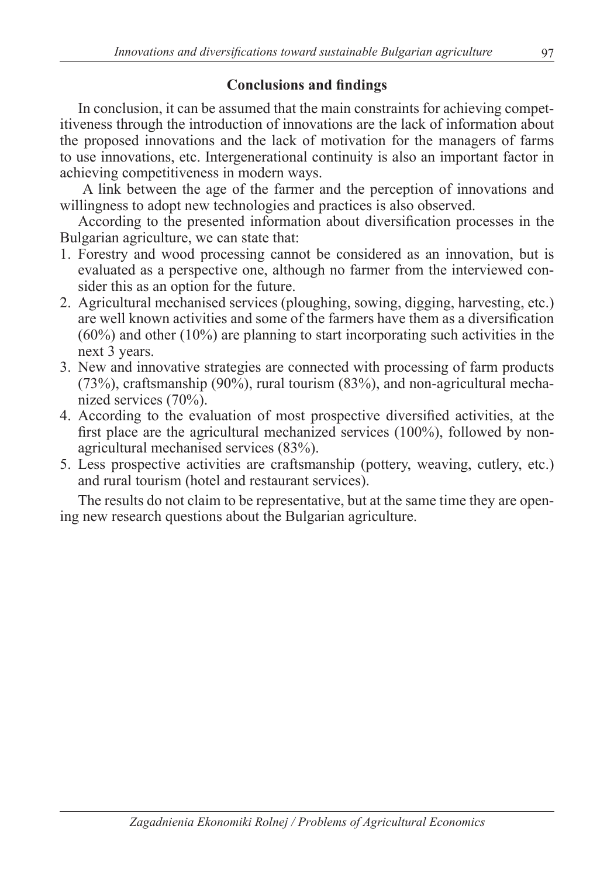# **Conclusions and findings**

In conclusion, it can be assumed that the main constraints for achieving competitiveness through the introduction of innovations are the lack of information about the proposed innovations and the lack of motivation for the managers of farms to use innovations, etc. Intergenerational continuity is also an important factor in achieving competitiveness in modern ways.

 A link between the age of the farmer and the perception of innovations and willingness to adopt new technologies and practices is also observed.

According to the presented information about diversification processes in the Bulgarian agriculture, we can state that:

- 1. Forestry and wood processing cannot be considered as an innovation, but is evaluated as a perspective one, although no farmer from the interviewed consider this as an option for the future.
- 2. Agricultural mechanised services (ploughing, sowing, digging, harvesting, etc.) are well known activities and some of the farmers have them as a diversification  $(60\%)$  and other  $(10\%)$  are planning to start incorporating such activities in the next 3 years.
- 3. New and innovative strategies are connected with processing of farm products (73%), craftsmanship (90%), rural tourism (83%), and non-agricultural mechanized services (70%).
- 4. According to the evaluation of most prospective diversified activities, at the first place are the agricultural mechanized services (100%), followed by nonagricultural mechanised services (83%).
- 5. Less prospective activities are craftsmanship (pottery, weaving, cutlery, etc.) and rural tourism (hotel and restaurant services).

The results do not claim to be representative, but at the same time they are opening new research questions about the Bulgarian agriculture.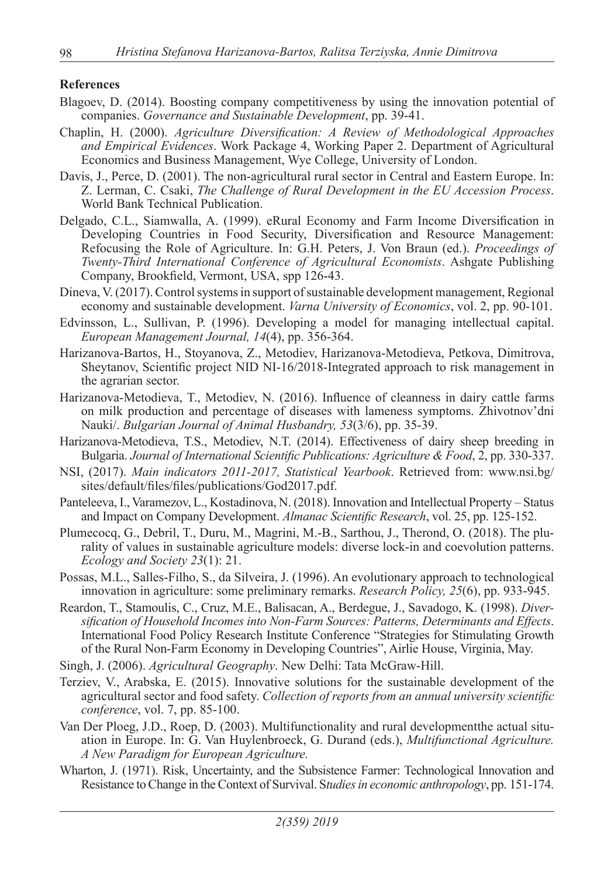#### **References**

- Blagoev, D. (2014). Boosting company competitiveness by using the innovation potential of companies. *Governance and Sustainable Development*, pp. 39-41.
- Chaplin, H. (2000). *Agriculture Diversification: A Review of Methodological Approaches and Empirical Evidences*. Work Package 4, Working Paper 2. Department of Agricultural Economics and Business Management, Wye College, University of London.
- Davis, J., Perce, D. (2001). The non-agricultural rural sector in Central and Eastern Europe. In: Z. Lerman, C. Csaki, *The Challenge of Rural Development in the EU Accession Process*. World Bank Technical Publication.
- Delgado, C.L., Siamwalla, A. (1999). eRural Economy and Farm Income Diversification in Developing Countries in Food Security, Diversification and Resource Management: Refocusing the Role of Agriculture. In: G.H. Peters, J. Von Braun (ed.). *Proceedings of Twenty-Third International Conference of Agricultural Economists*. Ashgate Publishing Company, Brookfield, Vermont, USA, spp 126-43.
- Dineva, V. (2017). Control systems in support of sustainable development management, Regional economy and sustainable development. *Varna University of Economics*, vol. 2, pp. 90-101.
- Edvinsson, L., Sullivan, P. (1996). Developing a model for managing intellectual capital. *European Management Journal, 14*(4), pp. 356-364.
- Harizanova-Bartos, H., Stoyanova, Z., Metodiev, Harizanova-Metodieva, Petkova, Dimitrova, Sheytanov, Scientific project NID NI-16/2018-Integrated approach to risk management in the agrarian sector.
- Harizanova-Metodieva, T., Metodiev, N. (2016). Influence of cleanness in dairy cattle farms on milk production and percentage of diseases with lameness symptoms. Zhivotnov'dni Nauki/. *Bulgarian Journal of Animal Husbandry, 53*(3/6), pp. 35-39.
- Harizanova-Metodieva, T.S., Metodiev, N.T. (2014). Effectiveness of dairy sheep breeding in Bulgaria. *Journal of International Scientific Publications: Agriculture & Food*, 2, pp. 330-337.
- NSI, (2017). *Main indicators 2011-2017, Statistical Yearbook*. Retrieved from: www.nsi.bg/ sites/default/files/files/publications/God2017.pdf.
- Panteleeva, I., Varamezov, L., Kostadinova, N. (2018). Innovation and Intellectual Property Status and Impact on Company Development. *Almanac Scientific Research*, vol. 25, pp. 125-152.
- Plumecocq, G., Debril, T., Duru, M., Magrini, M.-B., Sarthou, J., Therond, O. (2018). The plurality of values in sustainable agriculture models: diverse lock-in and coevolution patterns. *Ecology and Society 23*(1): 21.
- Possas, M.L., Salles-Filho, S., da Silveira, J. (1996). An evolutionary approach to technological innovation in agriculture: some preliminary remarks. *Research Policy, 25*(6), pp. 933-945.
- Reardon, T., Stamoulis, C., Cruz, M.E., Balisacan, A., Berdegue, J., Savadogo, K. (1998). *Diversification of Household Incomes into Non-Farm Sources: Patterns, Determinants and Effects*. International Food Policy Research Institute Conference "Strategies for Stimulating Growth of the Rural Non-Farm Economy in Developing Countries", Airlie House, Virginia, May.
- Singh, J. (2006). *Agricultural Geography*. New Delhi: Tata McGraw-Hill.
- Terziev, V., Arabska, E. (2015). Innovative solutions for the sustainable development of the agricultural sector and food safety. *Collection of reports from an annual university scientific conference*, vol. 7, pp. 85-100.
- Van Der Ploeg, J.D., Roep, D. (2003). Multifunctionality and rural developmentthe actual situation in Europe. In: G. Van Huylenbroeck, G. Durand (eds.), *Multifunctional Agriculture. A New Paradigm for European Agriculture.*
- Wharton, J. (1971). Risk, Uncertainty, and the Subsistence Farmer: Technological Innovation and Resistance to Change in the Context of Survival. S*tudies in economic anthropology*, pp. 151-174.